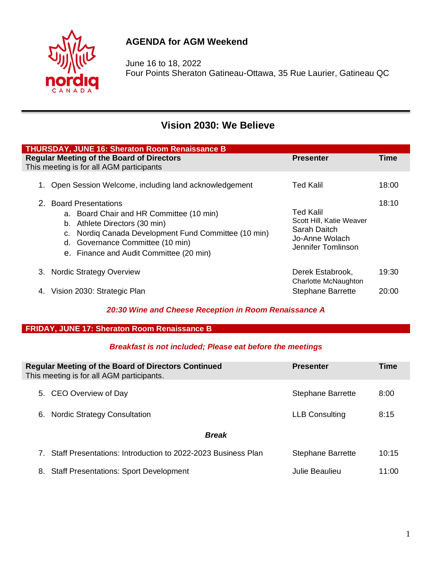

## **AGENDA for AGM Weekend**

June 16 to 18, 2022 Four Points Sheraton Gatineau-Ottawa, 35 Rue Laurier, Gatineau QC

# **Vision 2030: We Believe**

| <b>THURSDAY, JUNE 16: Sheraton Room Renaissance B</b>                                                                                                                                                                                            |                                                                                                               |  |  |  |  |  |
|--------------------------------------------------------------------------------------------------------------------------------------------------------------------------------------------------------------------------------------------------|---------------------------------------------------------------------------------------------------------------|--|--|--|--|--|
| <b>Regular Meeting of the Board of Directors</b><br>Time<br><b>Presenter</b><br>This meeting is for all AGM participants                                                                                                                         |                                                                                                               |  |  |  |  |  |
| Open Session Welcome, including land acknowledgement                                                                                                                                                                                             | Ted Kalil<br>18:00                                                                                            |  |  |  |  |  |
| 2. Board Presentations<br>a. Board Chair and HR Committee (10 min)<br>b. Athlete Directors (30 min)<br>Nordig Canada Development Fund Committee (10 min)<br>C.<br>Governance Committee (10 min)<br>d.<br>e. Finance and Audit Committee (20 min) | 18:10<br><b>Ted Kalil</b><br>Scott Hill, Katie Weaver<br>Sarah Daitch<br>Jo-Anne Wolach<br>Jennifer Tomlinson |  |  |  |  |  |
| <b>Nordic Strategy Overview</b><br>3.                                                                                                                                                                                                            | 19:30<br>Derek Estabrook,<br>Charlotte McNaughton                                                             |  |  |  |  |  |
| Vision 2030: Strategic Plan                                                                                                                                                                                                                      | <b>Stephane Barrette</b><br>20:00                                                                             |  |  |  |  |  |

## *20:30 Wine and Cheese Reception in Room Renaissance A*

## **FRIDAY, JUNE 17: Sheraton Room Renaissance B**

## *Breakfast is not included; Please eat before the meetings*

| <b>Regular Meeting of the Board of Directors Continued</b><br>This meeting is for all AGM participants. | <b>Presenter</b>         | Time  |  |  |  |
|---------------------------------------------------------------------------------------------------------|--------------------------|-------|--|--|--|
| 5. CEO Overview of Day                                                                                  | <b>Stephane Barrette</b> | 8:00  |  |  |  |
| <b>Nordic Strategy Consultation</b><br>6.                                                               | <b>LLB Consulting</b>    | 8:15  |  |  |  |
| <b>Break</b>                                                                                            |                          |       |  |  |  |
| Staff Presentations: Introduction to 2022-2023 Business Plan                                            | <b>Stephane Barrette</b> | 10:15 |  |  |  |
| <b>Staff Presentations: Sport Development</b><br>8.                                                     | Julie Beaulieu           | 11:00 |  |  |  |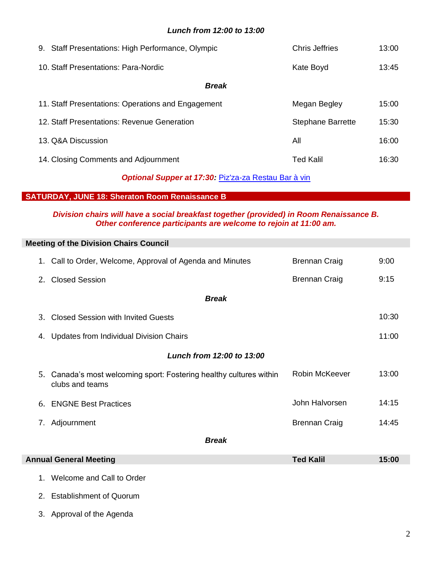#### *Lunch from 12:00 to 13:00*

| 9. Staff Presentations: High Performance, Olympic  | Chris Jeffries           | 13:00 |  |  |
|----------------------------------------------------|--------------------------|-------|--|--|
| 10. Staff Presentations: Para-Nordic               | Kate Boyd                | 13:45 |  |  |
| <b>Break</b>                                       |                          |       |  |  |
| 11. Staff Presentations: Operations and Engagement | Megan Begley             | 15:00 |  |  |
| 12. Staff Presentations: Revenue Generation        | <b>Stephane Barrette</b> | 15:30 |  |  |
| 13. Q&A Discussion                                 | All                      | 16:00 |  |  |
| 14. Closing Comments and Adjournment               | <b>Ted Kalil</b>         | 16:30 |  |  |

## *Optional Supper at 17:30:* [Piz'za-za Restau Bar à vin](http://www.pizzaza.ca/)

#### **SATURDAY, JUNE 18: Sheraton Room Renaissance B**

I

I

#### *Division chairs will have a social breakfast together (provided) in Room Renaissance B. Other conference participants are welcome to rejoin at 11:00 am.*

|                                                   | <b>Meeting of the Division Chairs Council</b>                                          |                      |       |  |  |  |
|---------------------------------------------------|----------------------------------------------------------------------------------------|----------------------|-------|--|--|--|
|                                                   | 1. Call to Order, Welcome, Approval of Agenda and Minutes                              | <b>Brennan Craig</b> | 9:00  |  |  |  |
| 2.                                                | <b>Closed Session</b>                                                                  | <b>Brennan Craig</b> | 9:15  |  |  |  |
| <b>Break</b>                                      |                                                                                        |                      |       |  |  |  |
| $3_{-}$                                           | <b>Closed Session with Invited Guests</b>                                              |                      | 10:30 |  |  |  |
| 4.                                                | Updates from Individual Division Chairs                                                |                      | 11:00 |  |  |  |
| Lunch from 12:00 to 13:00                         |                                                                                        |                      |       |  |  |  |
|                                                   | 5. Canada's most welcoming sport: Fostering healthy cultures within<br>clubs and teams | Robin McKeever       | 13:00 |  |  |  |
|                                                   | 6. ENGNE Best Practices                                                                | John Halvorsen       | 14:15 |  |  |  |
|                                                   | 7. Adjournment                                                                         | <b>Brennan Craig</b> | 14:45 |  |  |  |
| <b>Break</b>                                      |                                                                                        |                      |       |  |  |  |
| <b>Annual General Meeting</b><br><b>Ted Kalil</b> |                                                                                        |                      | 15:00 |  |  |  |
|                                                   | 1. Welcome and Call to Order                                                           |                      |       |  |  |  |

- 2. Establishment of Quorum
- 3. Approval of the Agenda